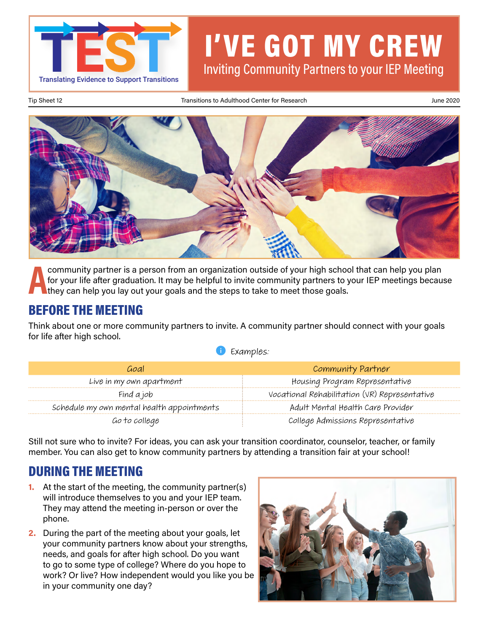

# I'VE GOT MY CREW Inviting Community Partners to your IEP Meeting

Tip Sheet 12 **Transitions to Adulthood Center for Research** June 2020 June 2020



**A a community partner is a person from an organization outside of your high school that can help you plan<br>for your life after graduation. It may be helpful to invite community partners to your IEP meetings becau<br>they can** for your life after graduation. It may be helpful to invite community partners to your IEP meetings because they can help you lay out your goals and the steps to take to meet those goals.

### BEFORE THE MEETING

Think about one or more community partners to invite. A community partner should connect with your goals for life after high school.

|  | Examples: |  |
|--|-----------|--|
|--|-----------|--|

| Goal                                       | Community Partner                             |
|--------------------------------------------|-----------------------------------------------|
| Live in my own apartment                   | Housing Program Representative                |
| Find a job                                 | Vocational Rehabilitation (VR) Representative |
| Schedule my own mental health appointments | Adult Mental Health Care Provider             |
| Go to college                              | College Admissions Representative             |

Still not sure who to invite? For ideas, you can ask your transition coordinator, counselor, teacher, or family member. You can also get to know community partners by attending a transition fair at your school!

## DURING THE MEETING

- **1.** At the start of the meeting, the community partner(s) will introduce themselves to you and your IEP team. They may attend the meeting in-person or over the phone.
- **2.** During the part of the meeting about your goals, let your community partners know about your strengths, needs, and goals for after high school. Do you want to go to some type of college? Where do you hope to work? Or live? How independent would you like you be in your community one day?